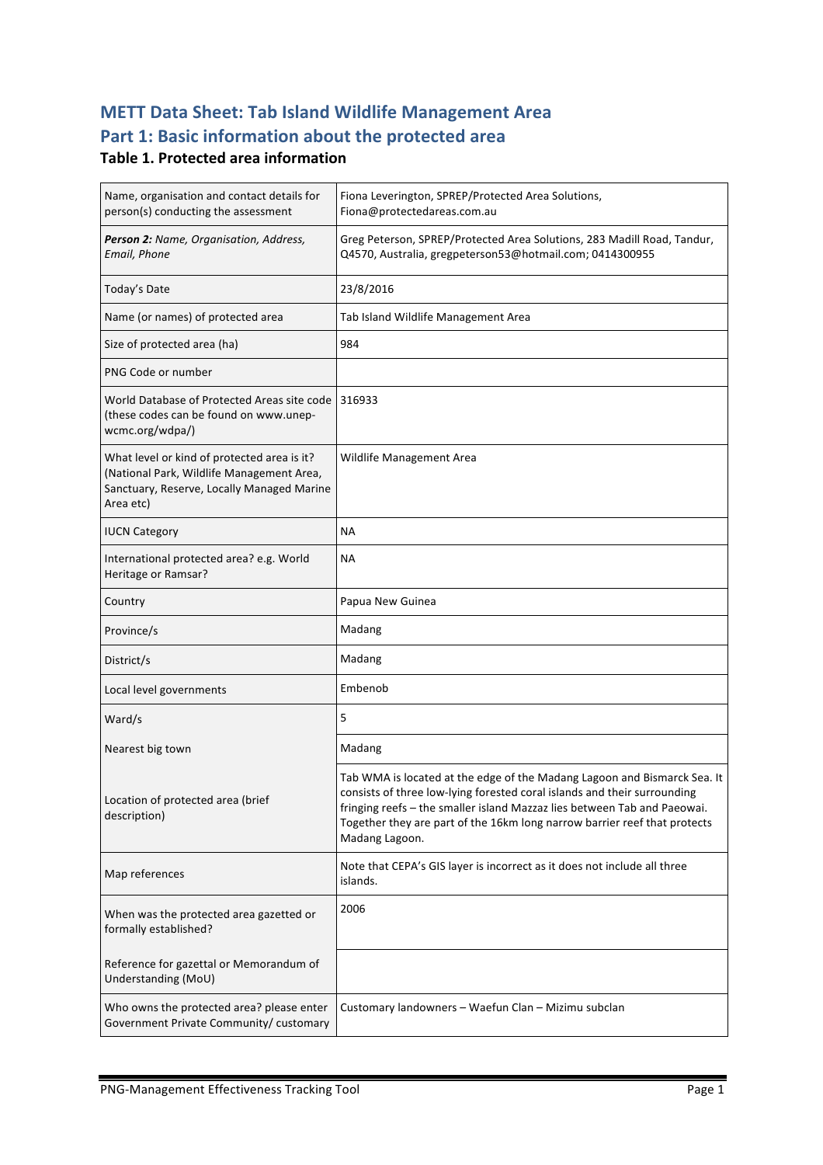## **METT Data Sheet: Tab Island Wildlife Management Area** Part 1: Basic information about the protected area

#### **Table 1. Protected area information**

| Name, organisation and contact details for<br>person(s) conducting the assessment                                                                   | Fiona Leverington, SPREP/Protected Area Solutions,<br>Fiona@protectedareas.com.au                                                                                                                                                                                                                                               |  |
|-----------------------------------------------------------------------------------------------------------------------------------------------------|---------------------------------------------------------------------------------------------------------------------------------------------------------------------------------------------------------------------------------------------------------------------------------------------------------------------------------|--|
| Person 2: Name, Organisation, Address,<br>Email, Phone                                                                                              | Greg Peterson, SPREP/Protected Area Solutions, 283 Madill Road, Tandur,<br>Q4570, Australia, gregpeterson53@hotmail.com; 0414300955                                                                                                                                                                                             |  |
| Today's Date                                                                                                                                        | 23/8/2016                                                                                                                                                                                                                                                                                                                       |  |
| Name (or names) of protected area                                                                                                                   | Tab Island Wildlife Management Area                                                                                                                                                                                                                                                                                             |  |
| Size of protected area (ha)                                                                                                                         | 984                                                                                                                                                                                                                                                                                                                             |  |
| PNG Code or number                                                                                                                                  |                                                                                                                                                                                                                                                                                                                                 |  |
| World Database of Protected Areas site code<br>(these codes can be found on www.unep-<br>wcmc.org/wdpa/)                                            | 316933                                                                                                                                                                                                                                                                                                                          |  |
| What level or kind of protected area is it?<br>(National Park, Wildlife Management Area,<br>Sanctuary, Reserve, Locally Managed Marine<br>Area etc) | Wildlife Management Area                                                                                                                                                                                                                                                                                                        |  |
| <b>IUCN Category</b>                                                                                                                                | <b>NA</b>                                                                                                                                                                                                                                                                                                                       |  |
| International protected area? e.g. World<br>Heritage or Ramsar?                                                                                     | ΝA                                                                                                                                                                                                                                                                                                                              |  |
| Country                                                                                                                                             | Papua New Guinea                                                                                                                                                                                                                                                                                                                |  |
| Province/s                                                                                                                                          | Madang                                                                                                                                                                                                                                                                                                                          |  |
| District/s                                                                                                                                          | Madang                                                                                                                                                                                                                                                                                                                          |  |
| Local level governments                                                                                                                             | Embenob                                                                                                                                                                                                                                                                                                                         |  |
| Ward/s                                                                                                                                              | 5                                                                                                                                                                                                                                                                                                                               |  |
| Nearest big town                                                                                                                                    | Madang                                                                                                                                                                                                                                                                                                                          |  |
| Location of protected area (brief<br>description)                                                                                                   | Tab WMA is located at the edge of the Madang Lagoon and Bismarck Sea. It<br>consists of three low-lying forested coral islands and their surrounding<br>fringing reefs – the smaller island Mazzaz lies between Tab and Paeowai.<br>Together they are part of the 16km long narrow barrier reef that protects<br>Madang Lagoon. |  |
| Map references                                                                                                                                      | Note that CEPA's GIS layer is incorrect as it does not include all three<br>islands.                                                                                                                                                                                                                                            |  |
| When was the protected area gazetted or<br>formally established?                                                                                    | 2006                                                                                                                                                                                                                                                                                                                            |  |
| Reference for gazettal or Memorandum of<br>Understanding (MoU)                                                                                      |                                                                                                                                                                                                                                                                                                                                 |  |
| Who owns the protected area? please enter<br>Government Private Community/ customary                                                                | Customary landowners - Waefun Clan - Mizimu subclan                                                                                                                                                                                                                                                                             |  |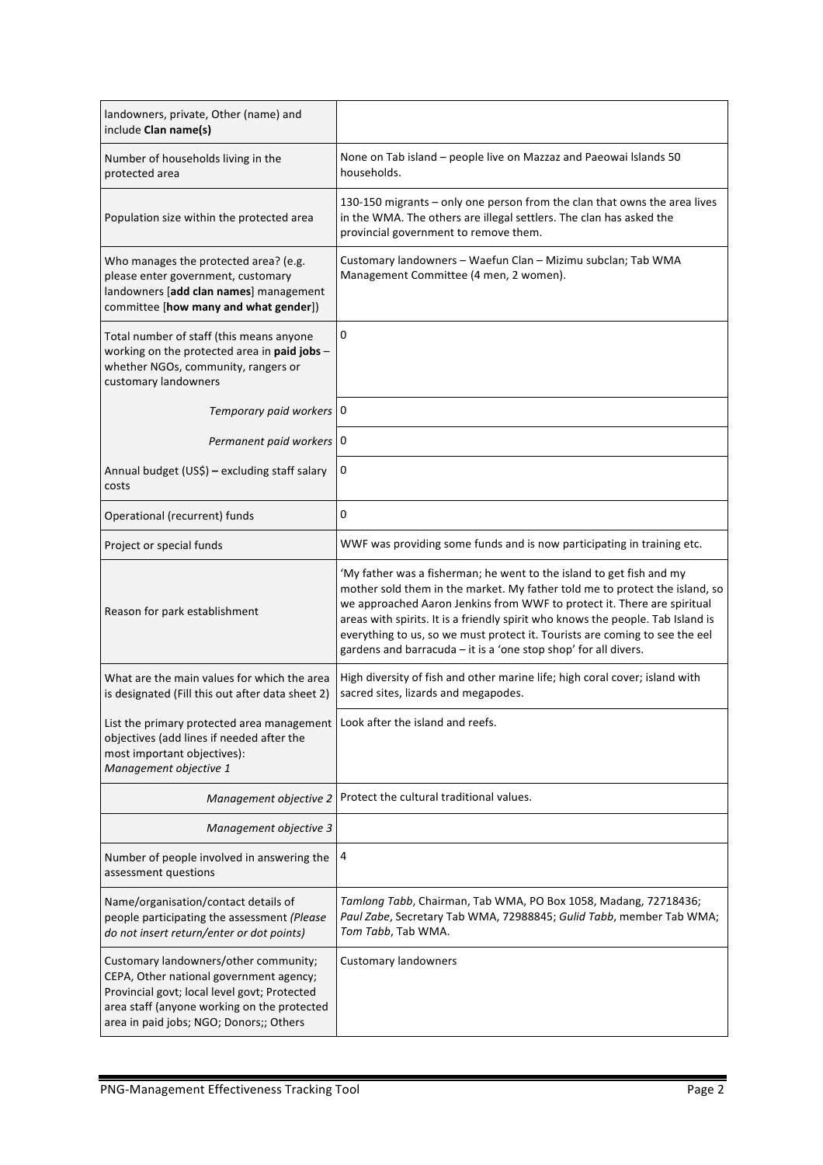| landowners, private, Other (name) and<br>include Clan name(s)                                                                                                                                                              |                                                                                                                                                                                                                                                                                                                                                                                                                                                                     |
|----------------------------------------------------------------------------------------------------------------------------------------------------------------------------------------------------------------------------|---------------------------------------------------------------------------------------------------------------------------------------------------------------------------------------------------------------------------------------------------------------------------------------------------------------------------------------------------------------------------------------------------------------------------------------------------------------------|
| Number of households living in the<br>protected area                                                                                                                                                                       | None on Tab island - people live on Mazzaz and Paeowai Islands 50<br>households.                                                                                                                                                                                                                                                                                                                                                                                    |
| Population size within the protected area                                                                                                                                                                                  | 130-150 migrants - only one person from the clan that owns the area lives<br>in the WMA. The others are illegal settlers. The clan has asked the<br>provincial government to remove them.                                                                                                                                                                                                                                                                           |
| Who manages the protected area? (e.g.<br>please enter government, customary<br>landowners [add clan names] management<br>committee [how many and what gender])                                                             | Customary landowners - Waefun Clan - Mizimu subclan; Tab WMA<br>Management Committee (4 men, 2 women).                                                                                                                                                                                                                                                                                                                                                              |
| Total number of staff (this means anyone<br>working on the protected area in paid jobs -<br>whether NGOs, community, rangers or<br>customary landowners                                                                    | 0                                                                                                                                                                                                                                                                                                                                                                                                                                                                   |
| Temporary paid workers   0                                                                                                                                                                                                 |                                                                                                                                                                                                                                                                                                                                                                                                                                                                     |
| Permanent paid workers   0                                                                                                                                                                                                 |                                                                                                                                                                                                                                                                                                                                                                                                                                                                     |
| Annual budget (US\$) - excluding staff salary<br>costs                                                                                                                                                                     | 0                                                                                                                                                                                                                                                                                                                                                                                                                                                                   |
| Operational (recurrent) funds                                                                                                                                                                                              | 0                                                                                                                                                                                                                                                                                                                                                                                                                                                                   |
| Project or special funds                                                                                                                                                                                                   | WWF was providing some funds and is now participating in training etc.                                                                                                                                                                                                                                                                                                                                                                                              |
| Reason for park establishment                                                                                                                                                                                              | 'My father was a fisherman; he went to the island to get fish and my<br>mother sold them in the market. My father told me to protect the island, so<br>we approached Aaron Jenkins from WWF to protect it. There are spiritual<br>areas with spirits. It is a friendly spirit who knows the people. Tab Island is<br>everything to us, so we must protect it. Tourists are coming to see the eel<br>gardens and barracuda - it is a 'one stop shop' for all divers. |
| What are the main values for which the area<br>is designated (Fill this out after data sheet 2)                                                                                                                            | High diversity of fish and other marine life; high coral cover; island with<br>sacred sites, lizards and megapodes.                                                                                                                                                                                                                                                                                                                                                 |
| List the primary protected area management   Look after the island and reefs.<br>objectives (add lines if needed after the<br>most important objectives):<br>Management objective 1                                        |                                                                                                                                                                                                                                                                                                                                                                                                                                                                     |
| Management objective 2                                                                                                                                                                                                     | Protect the cultural traditional values.                                                                                                                                                                                                                                                                                                                                                                                                                            |
| Management objective 3                                                                                                                                                                                                     |                                                                                                                                                                                                                                                                                                                                                                                                                                                                     |
| Number of people involved in answering the<br>assessment questions                                                                                                                                                         | 4                                                                                                                                                                                                                                                                                                                                                                                                                                                                   |
| Name/organisation/contact details of<br>people participating the assessment (Please<br>do not insert return/enter or dot points)                                                                                           | Tamlong Tabb, Chairman, Tab WMA, PO Box 1058, Madang, 72718436;<br>Paul Zabe, Secretary Tab WMA, 72988845; Gulid Tabb, member Tab WMA;<br>Tom Tabb, Tab WMA.                                                                                                                                                                                                                                                                                                        |
| Customary landowners/other community;<br>CEPA, Other national government agency;<br>Provincial govt; local level govt; Protected<br>area staff (anyone working on the protected<br>area in paid jobs; NGO; Donors;; Others | <b>Customary landowners</b>                                                                                                                                                                                                                                                                                                                                                                                                                                         |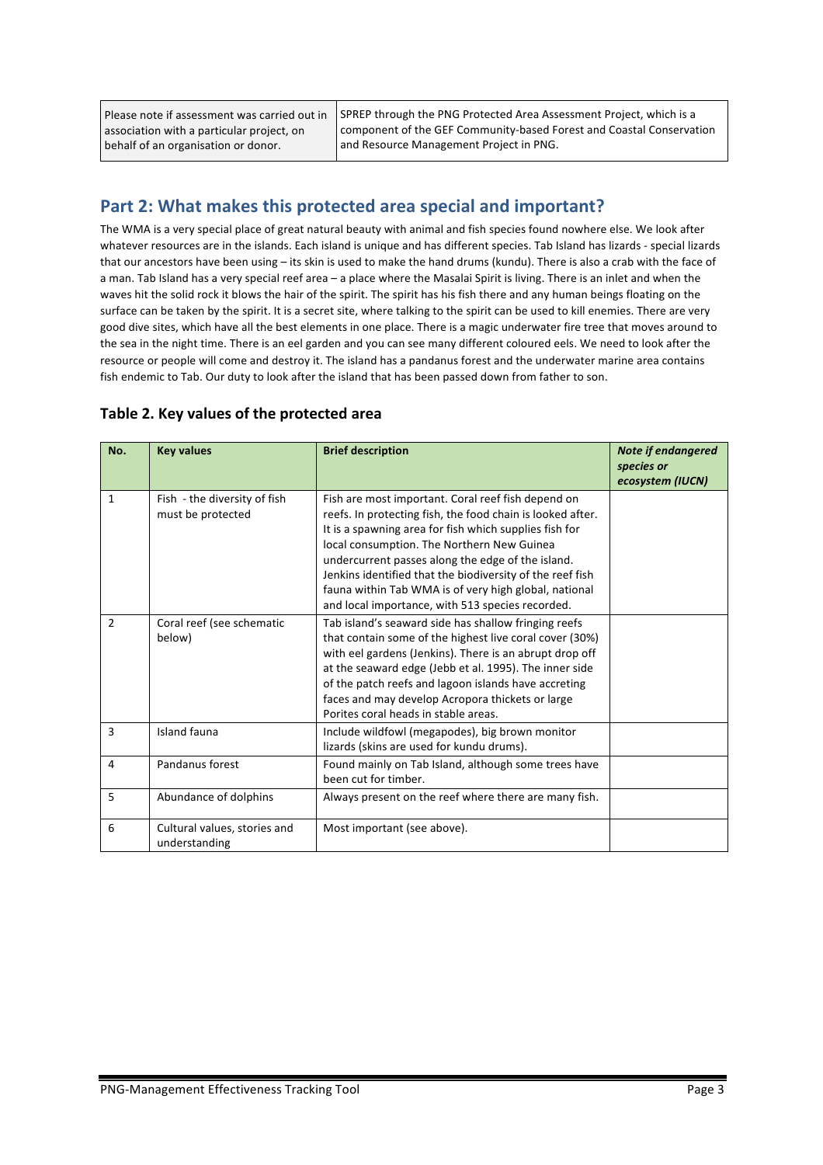Please note if assessment was carried out in association with a particular project, on behalf of an organisation or donor.

SPREP through the PNG Protected Area Assessment Project, which is a component of the GEF Community-based Forest and Coastal Conservation and Resource Management Project in PNG.

### Part 2: What makes this protected area special and important?

The WMA is a very special place of great natural beauty with animal and fish species found nowhere else. We look after whatever resources are in the islands. Each island is unique and has different species. Tab Island has lizards - special lizards that our ancestors have been using – its skin is used to make the hand drums (kundu). There is also a crab with the face of a man. Tab Island has a very special reef area – a place where the Masalai Spirit is living. There is an inlet and when the waves hit the solid rock it blows the hair of the spirit. The spirit has his fish there and any human beings floating on the surface can be taken by the spirit. It is a secret site, where talking to the spirit can be used to kill enemies. There are very good dive sites, which have all the best elements in one place. There is a magic underwater fire tree that moves around to the sea in the night time. There is an eel garden and you can see many different coloured eels. We need to look after the resource or people will come and destroy it. The island has a pandanus forest and the underwater marine area contains fish endemic to Tab. Our duty to look after the island that has been passed down from father to son.

| Table 2. Key values of the protected area |  |  |  |
|-------------------------------------------|--|--|--|
|-------------------------------------------|--|--|--|

| No.          | <b>Key values</b>                                 | <b>Brief description</b>                                                                                                                                                                                                                                                                                                                                                                                                                                | <b>Note if endangered</b><br>species or<br>ecosystem (IUCN) |
|--------------|---------------------------------------------------|---------------------------------------------------------------------------------------------------------------------------------------------------------------------------------------------------------------------------------------------------------------------------------------------------------------------------------------------------------------------------------------------------------------------------------------------------------|-------------------------------------------------------------|
| $\mathbf{1}$ | Fish - the diversity of fish<br>must be protected | Fish are most important. Coral reef fish depend on<br>reefs. In protecting fish, the food chain is looked after.<br>It is a spawning area for fish which supplies fish for<br>local consumption. The Northern New Guinea<br>undercurrent passes along the edge of the island.<br>Jenkins identified that the biodiversity of the reef fish<br>fauna within Tab WMA is of very high global, national<br>and local importance, with 513 species recorded. |                                                             |
| 2            | Coral reef (see schematic<br>below)               | Tab island's seaward side has shallow fringing reefs<br>that contain some of the highest live coral cover (30%)<br>with eel gardens (Jenkins). There is an abrupt drop off<br>at the seaward edge (Jebb et al. 1995). The inner side<br>of the patch reefs and lagoon islands have accreting<br>faces and may develop Acropora thickets or large<br>Porites coral heads in stable areas.                                                                |                                                             |
| 3            | Island fauna                                      | Include wildfowl (megapodes), big brown monitor<br>lizards (skins are used for kundu drums).                                                                                                                                                                                                                                                                                                                                                            |                                                             |
| 4            | Pandanus forest                                   | Found mainly on Tab Island, although some trees have<br>been cut for timber.                                                                                                                                                                                                                                                                                                                                                                            |                                                             |
| 5            | Abundance of dolphins                             | Always present on the reef where there are many fish.                                                                                                                                                                                                                                                                                                                                                                                                   |                                                             |
| 6            | Cultural values, stories and<br>understanding     | Most important (see above).                                                                                                                                                                                                                                                                                                                                                                                                                             |                                                             |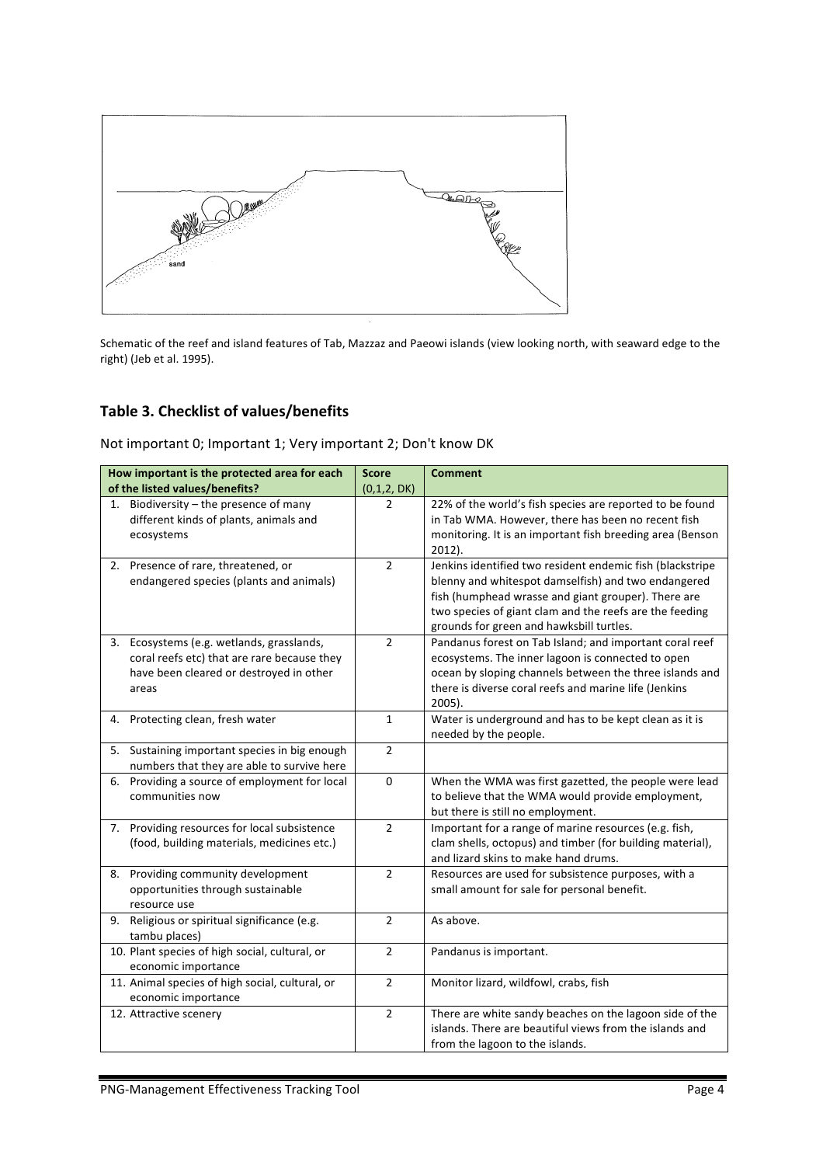

Schematic of the reef and island features of Tab, Mazzaz and Paeowi islands (view looking north, with seaward edge to the right) (Jeb et al. 1995).

## Table 3. Checklist of values/benefits

Not important 0; Important 1; Very important 2; Don't know DK

|    | How important is the protected area for each<br>of the listed values/benefits?                                                               | <b>Score</b><br>(0,1,2, DK) | <b>Comment</b>                                                                                                                                                                                                                                                                 |
|----|----------------------------------------------------------------------------------------------------------------------------------------------|-----------------------------|--------------------------------------------------------------------------------------------------------------------------------------------------------------------------------------------------------------------------------------------------------------------------------|
| 1. | Biodiversity - the presence of many<br>different kinds of plants, animals and<br>ecosystems                                                  | 2                           | 22% of the world's fish species are reported to be found<br>in Tab WMA. However, there has been no recent fish<br>monitoring. It is an important fish breeding area (Benson<br>$2012$ ).                                                                                       |
|    | 2. Presence of rare, threatened, or<br>endangered species (plants and animals)                                                               | $\overline{2}$              | Jenkins identified two resident endemic fish (blackstripe<br>blenny and whitespot damselfish) and two endangered<br>fish (humphead wrasse and giant grouper). There are<br>two species of giant clam and the reefs are the feeding<br>grounds for green and hawksbill turtles. |
|    | 3. Ecosystems (e.g. wetlands, grasslands,<br>coral reefs etc) that are rare because they<br>have been cleared or destroyed in other<br>areas | $\overline{2}$              | Pandanus forest on Tab Island; and important coral reef<br>ecosystems. The inner lagoon is connected to open<br>ocean by sloping channels between the three islands and<br>there is diverse coral reefs and marine life (Jenkins<br>$2005$ ).                                  |
|    | 4. Protecting clean, fresh water                                                                                                             | $\mathbf{1}$                | Water is underground and has to be kept clean as it is<br>needed by the people.                                                                                                                                                                                                |
|    | 5. Sustaining important species in big enough<br>numbers that they are able to survive here                                                  | $\overline{2}$              |                                                                                                                                                                                                                                                                                |
|    | 6. Providing a source of employment for local<br>communities now                                                                             | $\pmb{0}$                   | When the WMA was first gazetted, the people were lead<br>to believe that the WMA would provide employment,<br>but there is still no employment.                                                                                                                                |
| 7. | Providing resources for local subsistence<br>(food, building materials, medicines etc.)                                                      | $\overline{2}$              | Important for a range of marine resources (e.g. fish,<br>clam shells, octopus) and timber (for building material),<br>and lizard skins to make hand drums.                                                                                                                     |
|    | 8. Providing community development<br>opportunities through sustainable<br>resource use                                                      | $\overline{2}$              | Resources are used for subsistence purposes, with a<br>small amount for sale for personal benefit.                                                                                                                                                                             |
|    | 9. Religious or spiritual significance (e.g.<br>tambu places)                                                                                | $\overline{2}$              | As above.                                                                                                                                                                                                                                                                      |
|    | 10. Plant species of high social, cultural, or<br>economic importance                                                                        | $\overline{2}$              | Pandanus is important.                                                                                                                                                                                                                                                         |
|    | 11. Animal species of high social, cultural, or<br>economic importance                                                                       | $\overline{2}$              | Monitor lizard, wildfowl, crabs, fish                                                                                                                                                                                                                                          |
|    | 12. Attractive scenery                                                                                                                       | $\overline{2}$              | There are white sandy beaches on the lagoon side of the<br>islands. There are beautiful views from the islands and<br>from the lagoon to the islands.                                                                                                                          |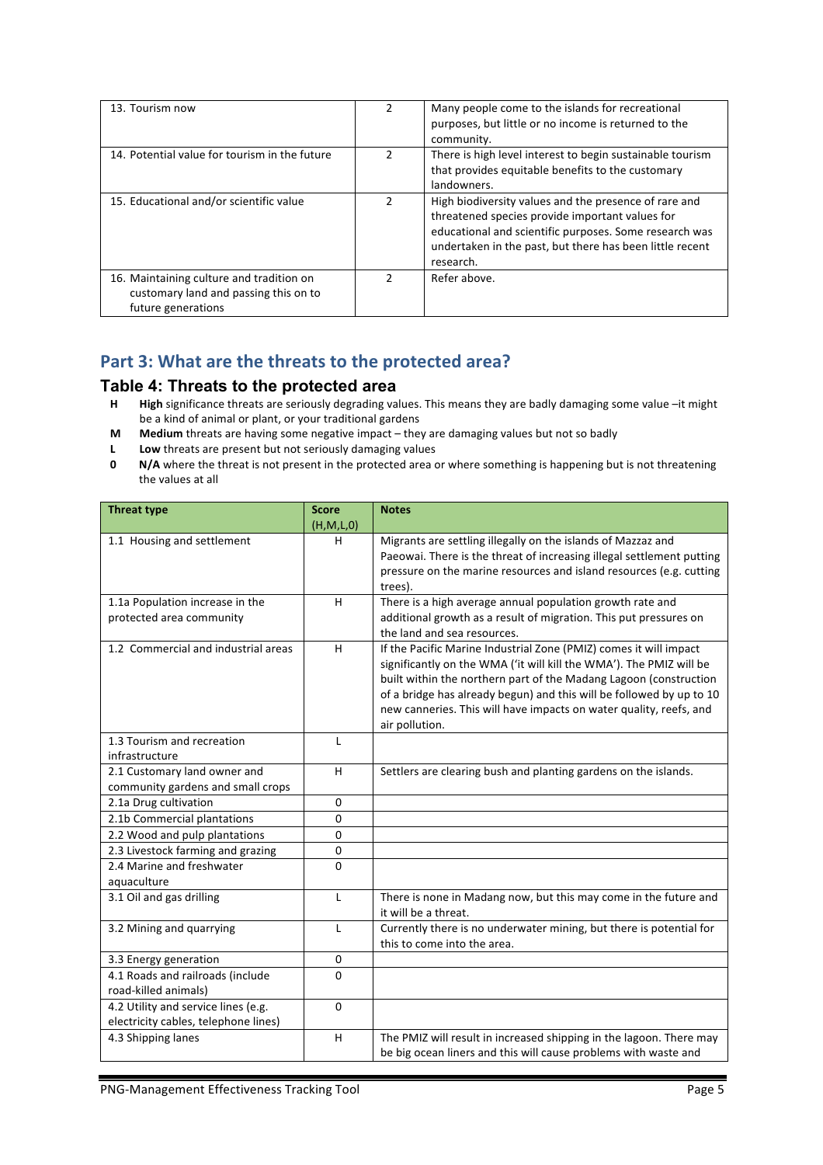| 13. Tourism now                                                                                         | 2 | Many people come to the islands for recreational<br>purposes, but little or no income is returned to the<br>community.                                                                                                                      |
|---------------------------------------------------------------------------------------------------------|---|---------------------------------------------------------------------------------------------------------------------------------------------------------------------------------------------------------------------------------------------|
| 14. Potential value for tourism in the future                                                           | 2 | There is high level interest to begin sustainable tourism<br>that provides equitable benefits to the customary<br>landowners.                                                                                                               |
| 15. Educational and/or scientific value                                                                 | 2 | High biodiversity values and the presence of rare and<br>threatened species provide important values for<br>educational and scientific purposes. Some research was<br>undertaken in the past, but there has been little recent<br>research. |
| 16. Maintaining culture and tradition on<br>customary land and passing this on to<br>future generations | 2 | Refer above.                                                                                                                                                                                                                                |

## Part 3: What are the threats to the protected area?

#### **Table 4: Threats to the protected area**

- **H High** significance threats are seriously degrading values. This means they are badly damaging some value –it might be a kind of animal or plant, or your traditional gardens
- **M Medium** threats are having some negative impact they are damaging values but not so badly
- **L Low** threats are present but not seriously damaging values
- **0 N/A** where the threat is not present in the protected area or where something is happening but is not threatening the values at all

| <b>Threat type</b>                   | <b>Score</b> | <b>Notes</b>                                                                                                                                 |
|--------------------------------------|--------------|----------------------------------------------------------------------------------------------------------------------------------------------|
|                                      | (H,M,L,0)    |                                                                                                                                              |
| 1.1 Housing and settlement           | н            | Migrants are settling illegally on the islands of Mazzaz and                                                                                 |
|                                      |              | Paeowai. There is the threat of increasing illegal settlement putting<br>pressure on the marine resources and island resources (e.g. cutting |
|                                      |              | trees).                                                                                                                                      |
| 1.1a Population increase in the      | H            | There is a high average annual population growth rate and                                                                                    |
| protected area community             |              | additional growth as a result of migration. This put pressures on                                                                            |
|                                      |              | the land and sea resources.                                                                                                                  |
| 1.2 Commercial and industrial areas  | н            | If the Pacific Marine Industrial Zone (PMIZ) comes it will impact                                                                            |
|                                      |              | significantly on the WMA ('it will kill the WMA'). The PMIZ will be                                                                          |
|                                      |              | built within the northern part of the Madang Lagoon (construction                                                                            |
|                                      |              | of a bridge has already begun) and this will be followed by up to 10                                                                         |
|                                      |              | new canneries. This will have impacts on water quality, reefs, and                                                                           |
|                                      |              | air pollution.                                                                                                                               |
| 1.3 Tourism and recreation           | L            |                                                                                                                                              |
| infrastructure                       |              |                                                                                                                                              |
| 2.1 Customary land owner and         | H            | Settlers are clearing bush and planting gardens on the islands.                                                                              |
| community gardens and small crops    |              |                                                                                                                                              |
| 2.1a Drug cultivation                | $\pmb{0}$    |                                                                                                                                              |
| 2.1b Commercial plantations          | 0            |                                                                                                                                              |
| 2.2 Wood and pulp plantations        | 0            |                                                                                                                                              |
| 2.3 Livestock farming and grazing    | 0            |                                                                                                                                              |
| 2.4 Marine and freshwater            | $\Omega$     |                                                                                                                                              |
| aquaculture                          |              |                                                                                                                                              |
| 3.1 Oil and gas drilling             | L            | There is none in Madang now, but this may come in the future and                                                                             |
|                                      |              | it will be a threat.                                                                                                                         |
| 3.2 Mining and quarrying             | L            | Currently there is no underwater mining, but there is potential for                                                                          |
|                                      |              | this to come into the area.                                                                                                                  |
| 3.3 Energy generation                | 0            |                                                                                                                                              |
| 4.1 Roads and railroads (include     | 0            |                                                                                                                                              |
| road-killed animals)                 |              |                                                                                                                                              |
| 4.2 Utility and service lines (e.g.  | $\mathbf 0$  |                                                                                                                                              |
| electricity cables, telephone lines) |              |                                                                                                                                              |
| 4.3 Shipping lanes                   | H            | The PMIZ will result in increased shipping in the lagoon. There may                                                                          |
|                                      |              | be big ocean liners and this will cause problems with waste and                                                                              |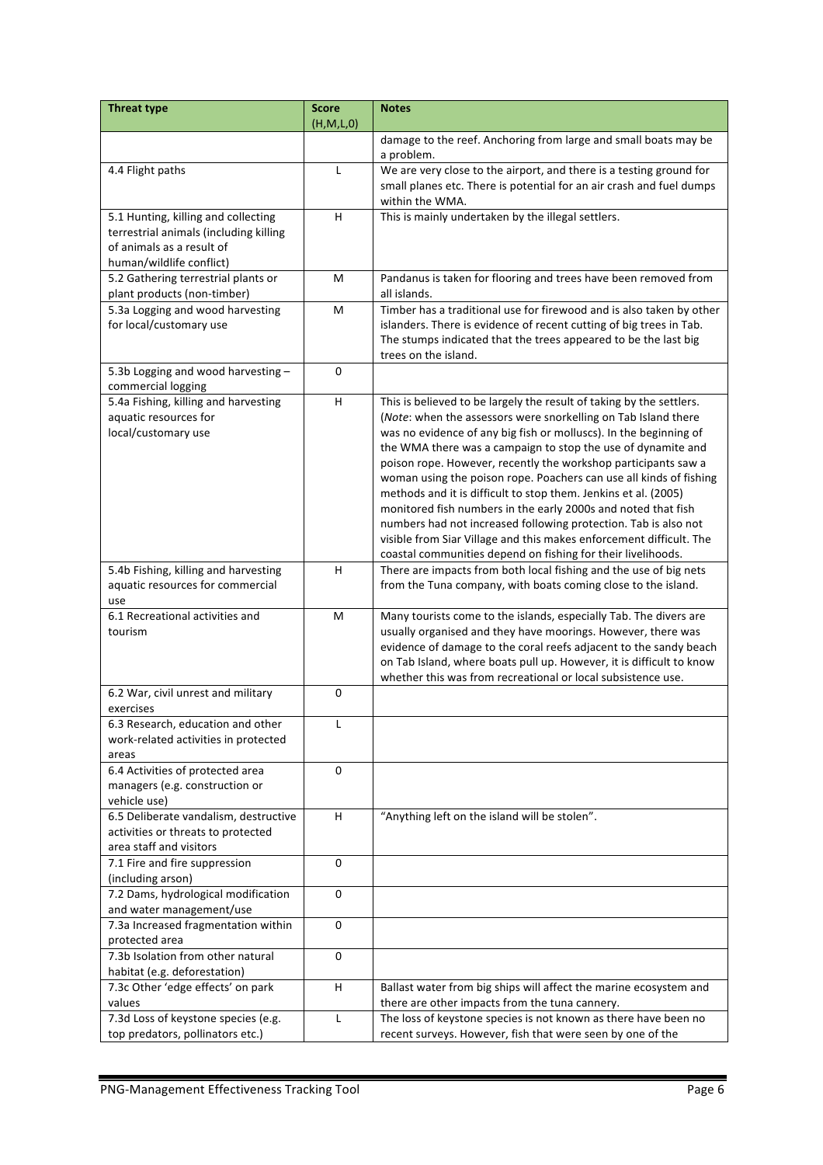| <b>Threat type</b>                                                  | <b>Score</b> | <b>Notes</b>                                                                                                                           |
|---------------------------------------------------------------------|--------------|----------------------------------------------------------------------------------------------------------------------------------------|
|                                                                     | (H,M,L,0)    |                                                                                                                                        |
|                                                                     |              | damage to the reef. Anchoring from large and small boats may be<br>a problem.                                                          |
| 4.4 Flight paths                                                    | L            | We are very close to the airport, and there is a testing ground for                                                                    |
|                                                                     |              | small planes etc. There is potential for an air crash and fuel dumps                                                                   |
|                                                                     |              | within the WMA.                                                                                                                        |
| 5.1 Hunting, killing and collecting                                 | H            | This is mainly undertaken by the illegal settlers.                                                                                     |
| terrestrial animals (including killing<br>of animals as a result of |              |                                                                                                                                        |
| human/wildlife conflict)                                            |              |                                                                                                                                        |
| 5.2 Gathering terrestrial plants or                                 | M            | Pandanus is taken for flooring and trees have been removed from                                                                        |
| plant products (non-timber)                                         |              | all islands.                                                                                                                           |
| 5.3a Logging and wood harvesting                                    | M            | Timber has a traditional use for firewood and is also taken by other                                                                   |
| for local/customary use                                             |              | islanders. There is evidence of recent cutting of big trees in Tab.                                                                    |
|                                                                     |              | The stumps indicated that the trees appeared to be the last big                                                                        |
|                                                                     |              | trees on the island.                                                                                                                   |
| 5.3b Logging and wood harvesting -                                  | $\mathbf 0$  |                                                                                                                                        |
| commercial logging<br>5.4a Fishing, killing and harvesting          | н            | This is believed to be largely the result of taking by the settlers.                                                                   |
| aquatic resources for                                               |              | (Note: when the assessors were snorkelling on Tab Island there                                                                         |
| local/customary use                                                 |              | was no evidence of any big fish or molluscs). In the beginning of                                                                      |
|                                                                     |              | the WMA there was a campaign to stop the use of dynamite and                                                                           |
|                                                                     |              | poison rope. However, recently the workshop participants saw a                                                                         |
|                                                                     |              | woman using the poison rope. Poachers can use all kinds of fishing                                                                     |
|                                                                     |              | methods and it is difficult to stop them. Jenkins et al. (2005)                                                                        |
|                                                                     |              | monitored fish numbers in the early 2000s and noted that fish                                                                          |
|                                                                     |              | numbers had not increased following protection. Tab is also not<br>visible from Siar Village and this makes enforcement difficult. The |
|                                                                     |              | coastal communities depend on fishing for their livelihoods.                                                                           |
| 5.4b Fishing, killing and harvesting                                | H            | There are impacts from both local fishing and the use of big nets                                                                      |
| aquatic resources for commercial                                    |              | from the Tuna company, with boats coming close to the island.                                                                          |
| use                                                                 |              |                                                                                                                                        |
| 6.1 Recreational activities and                                     | M            | Many tourists come to the islands, especially Tab. The divers are                                                                      |
| tourism                                                             |              | usually organised and they have moorings. However, there was<br>evidence of damage to the coral reefs adjacent to the sandy beach      |
|                                                                     |              | on Tab Island, where boats pull up. However, it is difficult to know                                                                   |
|                                                                     |              | whether this was from recreational or local subsistence use.                                                                           |
| 6.2 War, civil unrest and military                                  | $\pmb{0}$    |                                                                                                                                        |
| exercises                                                           |              |                                                                                                                                        |
| 6.3 Research, education and other                                   | L            |                                                                                                                                        |
| work-related activities in protected<br>areas                       |              |                                                                                                                                        |
| 6.4 Activities of protected area                                    | 0            |                                                                                                                                        |
| managers (e.g. construction or                                      |              |                                                                                                                                        |
| vehicle use)                                                        |              |                                                                                                                                        |
| 6.5 Deliberate vandalism, destructive                               | н            | "Anything left on the island will be stolen".                                                                                          |
| activities or threats to protected                                  |              |                                                                                                                                        |
| area staff and visitors<br>7.1 Fire and fire suppression            | 0            |                                                                                                                                        |
| (including arson)                                                   |              |                                                                                                                                        |
| 7.2 Dams, hydrological modification                                 | $\mathbf 0$  |                                                                                                                                        |
| and water management/use                                            |              |                                                                                                                                        |
| 7.3a Increased fragmentation within                                 | 0            |                                                                                                                                        |
| protected area                                                      |              |                                                                                                                                        |
| 7.3b Isolation from other natural                                   | 0            |                                                                                                                                        |
| habitat (e.g. deforestation)<br>7.3c Other 'edge effects' on park   | H            | Ballast water from big ships will affect the marine ecosystem and                                                                      |
| values                                                              |              | there are other impacts from the tuna cannery.                                                                                         |
| 7.3d Loss of keystone species (e.g.                                 | Г            | The loss of keystone species is not known as there have been no                                                                        |
| top predators, pollinators etc.)                                    |              | recent surveys. However, fish that were seen by one of the                                                                             |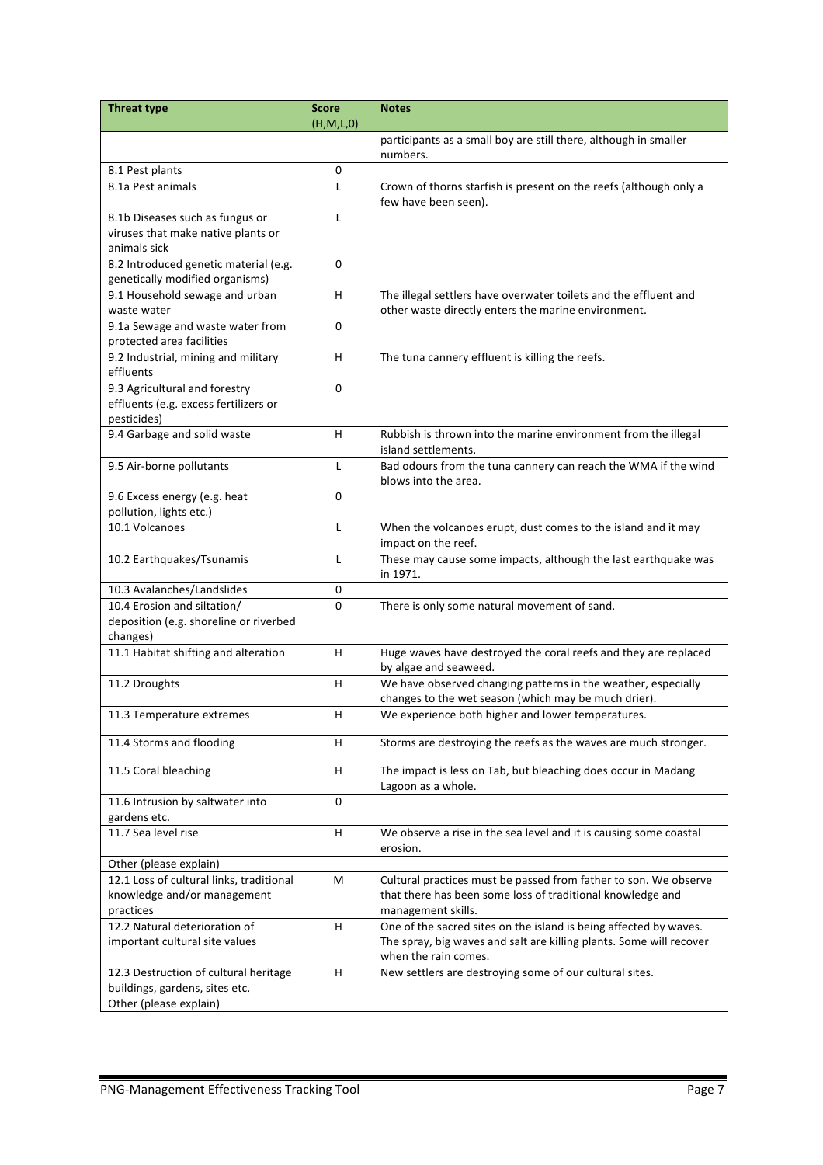| <b>Threat type</b>                                                       | <b>Score</b> | <b>Notes</b>                                                                 |
|--------------------------------------------------------------------------|--------------|------------------------------------------------------------------------------|
|                                                                          | (H,M,L,0)    |                                                                              |
|                                                                          |              | participants as a small boy are still there, although in smaller<br>numbers. |
| 8.1 Pest plants                                                          | 0            |                                                                              |
| 8.1a Pest animals                                                        | L            | Crown of thorns starfish is present on the reefs (although only a            |
|                                                                          |              | few have been seen).                                                         |
| 8.1b Diseases such as fungus or                                          | L            |                                                                              |
| viruses that make native plants or                                       |              |                                                                              |
| animals sick                                                             |              |                                                                              |
| 8.2 Introduced genetic material (e.g.<br>genetically modified organisms) | 0            |                                                                              |
| 9.1 Household sewage and urban                                           | H            | The illegal settlers have overwater toilets and the effluent and             |
| waste water                                                              |              | other waste directly enters the marine environment.                          |
| 9.1a Sewage and waste water from                                         | 0            |                                                                              |
| protected area facilities                                                |              |                                                                              |
| 9.2 Industrial, mining and military                                      | H            | The tuna cannery effluent is killing the reefs.                              |
| effluents                                                                |              |                                                                              |
| 9.3 Agricultural and forestry                                            | $\mathbf 0$  |                                                                              |
| effluents (e.g. excess fertilizers or                                    |              |                                                                              |
| pesticides)                                                              |              |                                                                              |
| 9.4 Garbage and solid waste                                              | H            | Rubbish is thrown into the marine environment from the illegal               |
|                                                                          |              | island settlements.                                                          |
| 9.5 Air-borne pollutants                                                 | L            | Bad odours from the tuna cannery can reach the WMA if the wind               |
|                                                                          |              | blows into the area.                                                         |
| 9.6 Excess energy (e.g. heat                                             | 0            |                                                                              |
| pollution, lights etc.)                                                  |              |                                                                              |
| 10.1 Volcanoes                                                           | L            | When the volcanoes erupt, dust comes to the island and it may                |
|                                                                          |              | impact on the reef.                                                          |
| 10.2 Earthquakes/Tsunamis                                                | L            | These may cause some impacts, although the last earthquake was               |
|                                                                          |              | in 1971.                                                                     |
| 10.3 Avalanches/Landslides                                               | 0            |                                                                              |
| 10.4 Erosion and siltation/                                              | 0            | There is only some natural movement of sand.                                 |
| deposition (e.g. shoreline or riverbed                                   |              |                                                                              |
| changes)<br>11.1 Habitat shifting and alteration                         | H            | Huge waves have destroyed the coral reefs and they are replaced              |
|                                                                          |              | by algae and seaweed.                                                        |
| 11.2 Droughts                                                            | H            | We have observed changing patterns in the weather, especially                |
|                                                                          |              | changes to the wet season (which may be much drier).                         |
| 11.3 Temperature extremes                                                | H            | We experience both higher and lower temperatures.                            |
|                                                                          |              |                                                                              |
| 11.4 Storms and flooding                                                 | H            | Storms are destroying the reefs as the waves are much stronger.              |
|                                                                          |              |                                                                              |
| 11.5 Coral bleaching                                                     | н            | The impact is less on Tab, but bleaching does occur in Madang                |
|                                                                          |              | Lagoon as a whole.                                                           |
| 11.6 Intrusion by saltwater into<br>gardens etc.                         | 0            |                                                                              |
| 11.7 Sea level rise                                                      | н            | We observe a rise in the sea level and it is causing some coastal            |
|                                                                          |              | erosion.                                                                     |
| Other (please explain)                                                   |              |                                                                              |
| 12.1 Loss of cultural links, traditional                                 | М            | Cultural practices must be passed from father to son. We observe             |
| knowledge and/or management                                              |              | that there has been some loss of traditional knowledge and                   |
| practices                                                                |              | management skills.                                                           |
| 12.2 Natural deterioration of                                            | н            | One of the sacred sites on the island is being affected by waves.            |
| important cultural site values                                           |              | The spray, big waves and salt are killing plants. Some will recover          |
|                                                                          |              | when the rain comes.                                                         |
| 12.3 Destruction of cultural heritage                                    | H            | New settlers are destroying some of our cultural sites.                      |
| buildings, gardens, sites etc.                                           |              |                                                                              |
| Other (please explain)                                                   |              |                                                                              |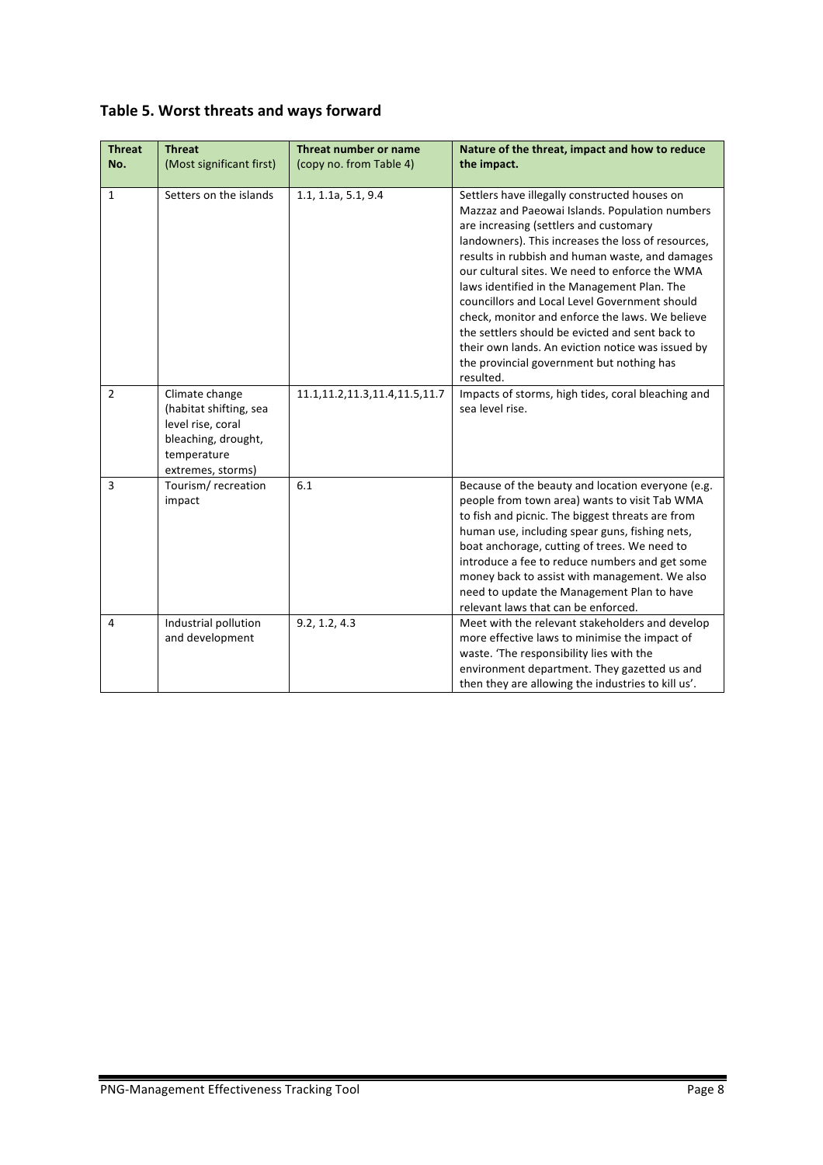|  |  | Table 5. Worst threats and ways forward |  |  |
|--|--|-----------------------------------------|--|--|
|--|--|-----------------------------------------|--|--|

| <b>Threat</b><br>No. | <b>Threat</b><br>(Most significant first)                                                                                | Threat number or name<br>(copy no. from Table 4) | Nature of the threat, impact and how to reduce<br>the impact.                                                                                                                                                                                                                                                                                                                                                                                                                                                                                                                                                             |
|----------------------|--------------------------------------------------------------------------------------------------------------------------|--------------------------------------------------|---------------------------------------------------------------------------------------------------------------------------------------------------------------------------------------------------------------------------------------------------------------------------------------------------------------------------------------------------------------------------------------------------------------------------------------------------------------------------------------------------------------------------------------------------------------------------------------------------------------------------|
| $\mathbf{1}$         | Setters on the islands                                                                                                   | 1.1, 1.1a, 5.1, 9.4                              | Settlers have illegally constructed houses on<br>Mazzaz and Paeowai Islands. Population numbers<br>are increasing (settlers and customary<br>landowners). This increases the loss of resources,<br>results in rubbish and human waste, and damages<br>our cultural sites. We need to enforce the WMA<br>laws identified in the Management Plan. The<br>councillors and Local Level Government should<br>check, monitor and enforce the laws. We believe<br>the settlers should be evicted and sent back to<br>their own lands. An eviction notice was issued by<br>the provincial government but nothing has<br>resulted. |
| $\overline{2}$       | Climate change<br>(habitat shifting, sea<br>level rise, coral<br>bleaching, drought,<br>temperature<br>extremes, storms) | 11.1, 11.2, 11.3, 11.4, 11.5, 11.7               | Impacts of storms, high tides, coral bleaching and<br>sea level rise.                                                                                                                                                                                                                                                                                                                                                                                                                                                                                                                                                     |
| $\overline{3}$       | Tourism/recreation<br>impact                                                                                             | 6.1                                              | Because of the beauty and location everyone (e.g.<br>people from town area) wants to visit Tab WMA<br>to fish and picnic. The biggest threats are from<br>human use, including spear guns, fishing nets,<br>boat anchorage, cutting of trees. We need to<br>introduce a fee to reduce numbers and get some<br>money back to assist with management. We also<br>need to update the Management Plan to have<br>relevant laws that can be enforced.                                                                                                                                                                          |
| 4                    | Industrial pollution<br>and development                                                                                  | 9.2, 1.2, 4.3                                    | Meet with the relevant stakeholders and develop<br>more effective laws to minimise the impact of<br>waste. 'The responsibility lies with the<br>environment department. They gazetted us and<br>then they are allowing the industries to kill us'.                                                                                                                                                                                                                                                                                                                                                                        |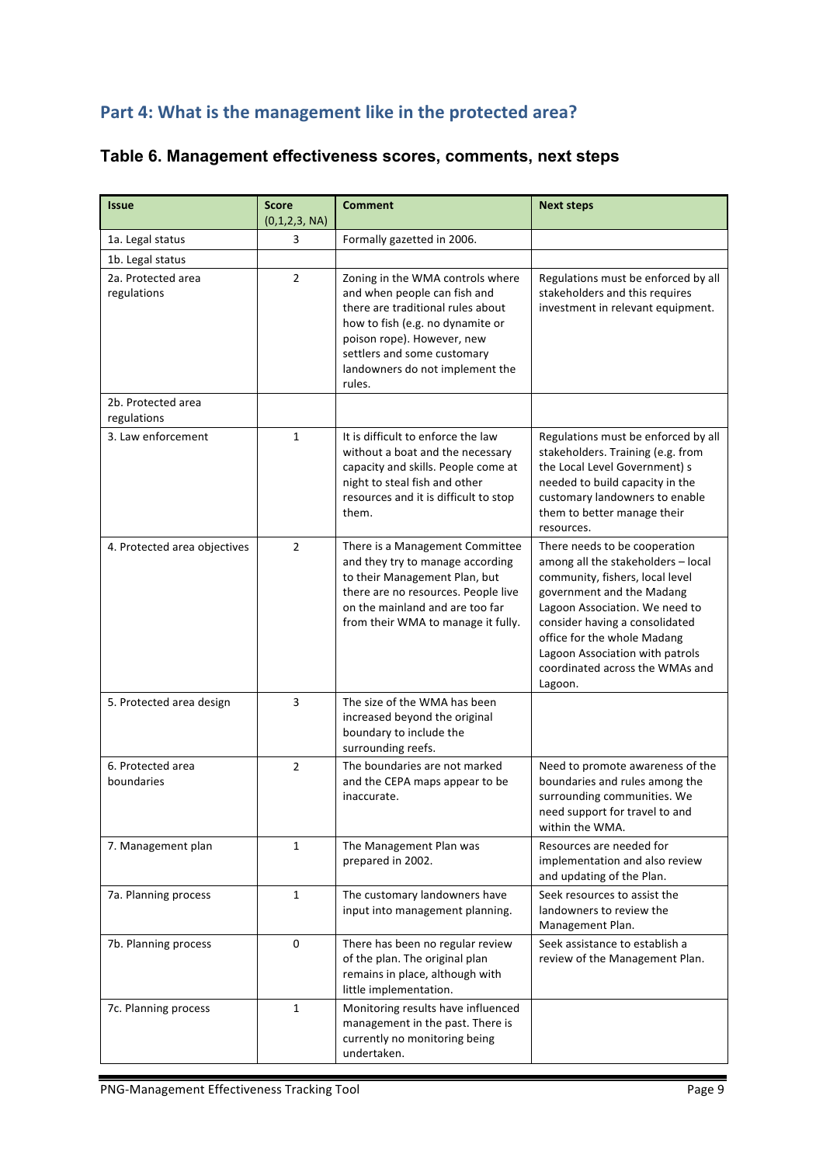## Part 4: What is the management like in the protected area?

| <b>Issue</b>                      | <b>Score</b><br>(0,1,2,3, NA) | <b>Comment</b>                                                                                                                                                                                                                                      | <b>Next steps</b>                                                                                                                                                                                                                                                                                                       |
|-----------------------------------|-------------------------------|-----------------------------------------------------------------------------------------------------------------------------------------------------------------------------------------------------------------------------------------------------|-------------------------------------------------------------------------------------------------------------------------------------------------------------------------------------------------------------------------------------------------------------------------------------------------------------------------|
| 1a. Legal status                  | 3                             | Formally gazetted in 2006.                                                                                                                                                                                                                          |                                                                                                                                                                                                                                                                                                                         |
| 1b. Legal status                  |                               |                                                                                                                                                                                                                                                     |                                                                                                                                                                                                                                                                                                                         |
| 2a. Protected area<br>regulations | $\overline{2}$                | Zoning in the WMA controls where<br>and when people can fish and<br>there are traditional rules about<br>how to fish (e.g. no dynamite or<br>poison rope). However, new<br>settlers and some customary<br>landowners do not implement the<br>rules. | Regulations must be enforced by all<br>stakeholders and this requires<br>investment in relevant equipment.                                                                                                                                                                                                              |
| 2b. Protected area<br>regulations |                               |                                                                                                                                                                                                                                                     |                                                                                                                                                                                                                                                                                                                         |
| 3. Law enforcement                | $\mathbf{1}$                  | It is difficult to enforce the law<br>without a boat and the necessary<br>capacity and skills. People come at<br>night to steal fish and other<br>resources and it is difficult to stop<br>them.                                                    | Regulations must be enforced by all<br>stakeholders. Training (e.g. from<br>the Local Level Government) s<br>needed to build capacity in the<br>customary landowners to enable<br>them to better manage their<br>resources.                                                                                             |
| 4. Protected area objectives      | $\overline{2}$                | There is a Management Committee<br>and they try to manage according<br>to their Management Plan, but<br>there are no resources. People live<br>on the mainland and are too far<br>from their WMA to manage it fully.                                | There needs to be cooperation<br>among all the stakeholders - local<br>community, fishers, local level<br>government and the Madang<br>Lagoon Association. We need to<br>consider having a consolidated<br>office for the whole Madang<br>Lagoon Association with patrols<br>coordinated across the WMAs and<br>Lagoon. |
| 5. Protected area design          | 3                             | The size of the WMA has been<br>increased beyond the original<br>boundary to include the<br>surrounding reefs.                                                                                                                                      |                                                                                                                                                                                                                                                                                                                         |
| 6. Protected area<br>boundaries   | $\overline{2}$                | The boundaries are not marked<br>and the CEPA maps appear to be<br>inaccurate.                                                                                                                                                                      | Need to promote awareness of the<br>boundaries and rules among the<br>surrounding communities. We<br>need support for travel to and<br>within the WMA.                                                                                                                                                                  |
| 7. Management plan                | $\mathbf{1}$                  | The Management Plan was<br>prepared in 2002.                                                                                                                                                                                                        | Resources are needed for<br>implementation and also review<br>and updating of the Plan.                                                                                                                                                                                                                                 |
| 7a. Planning process              | $\mathbf{1}$                  | The customary landowners have<br>input into management planning.                                                                                                                                                                                    | Seek resources to assist the<br>landowners to review the<br>Management Plan.                                                                                                                                                                                                                                            |
| 7b. Planning process              | 0                             | There has been no regular review<br>of the plan. The original plan<br>remains in place, although with<br>little implementation.                                                                                                                     | Seek assistance to establish a<br>review of the Management Plan.                                                                                                                                                                                                                                                        |
| 7c. Planning process              | $\mathbf{1}$                  | Monitoring results have influenced<br>management in the past. There is<br>currently no monitoring being<br>undertaken.                                                                                                                              |                                                                                                                                                                                                                                                                                                                         |

## **Table 6. Management effectiveness scores, comments, next steps**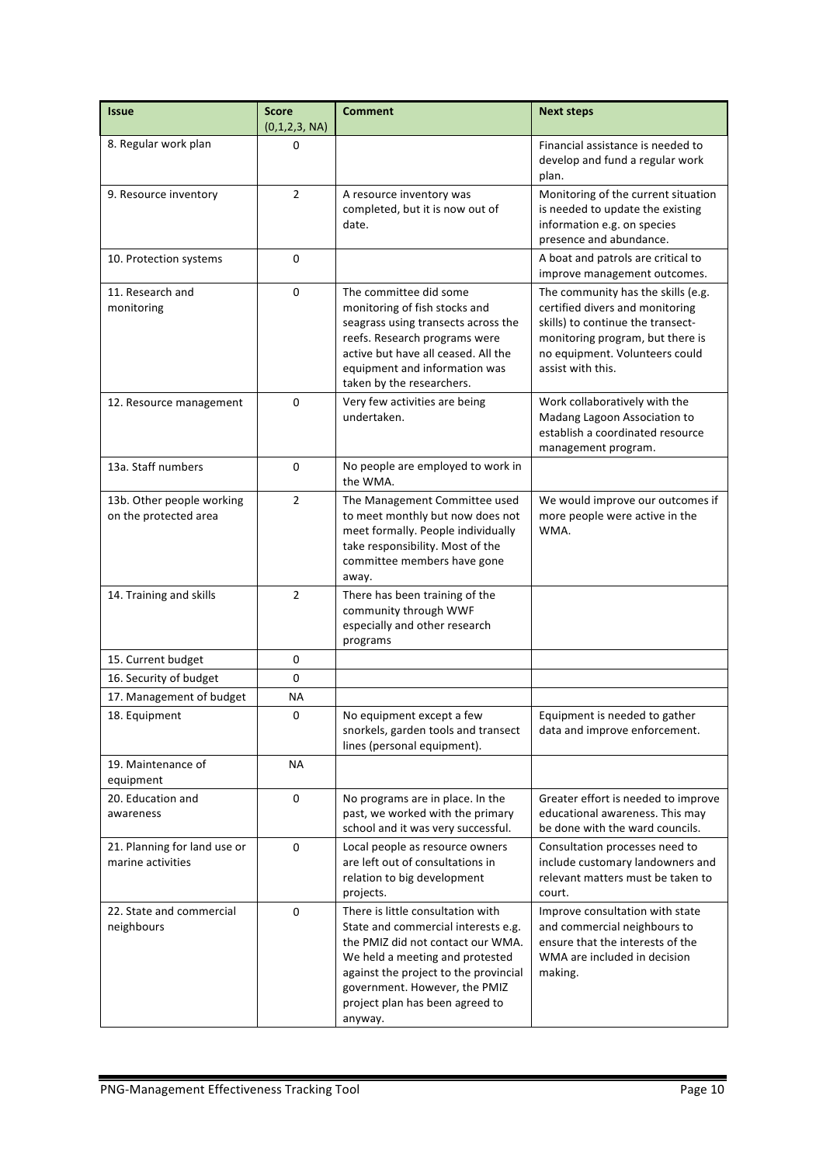| <b>Issue</b>                                       | <b>Score</b><br>(0,1,2,3, NA) | <b>Comment</b>                                                                                                                                                                                                                                                           | <b>Next steps</b>                                                                                                                                                                                     |
|----------------------------------------------------|-------------------------------|--------------------------------------------------------------------------------------------------------------------------------------------------------------------------------------------------------------------------------------------------------------------------|-------------------------------------------------------------------------------------------------------------------------------------------------------------------------------------------------------|
| 8. Regular work plan                               | 0                             |                                                                                                                                                                                                                                                                          | Financial assistance is needed to<br>develop and fund a regular work<br>plan.                                                                                                                         |
| 9. Resource inventory                              | $\overline{2}$                | A resource inventory was<br>completed, but it is now out of<br>date.                                                                                                                                                                                                     | Monitoring of the current situation<br>is needed to update the existing<br>information e.g. on species<br>presence and abundance.                                                                     |
| 10. Protection systems                             | $\mathbf 0$                   |                                                                                                                                                                                                                                                                          | A boat and patrols are critical to<br>improve management outcomes.                                                                                                                                    |
| 11. Research and<br>monitoring                     | $\mathbf 0$                   | The committee did some<br>monitoring of fish stocks and<br>seagrass using transects across the<br>reefs. Research programs were<br>active but have all ceased. All the<br>equipment and information was<br>taken by the researchers.                                     | The community has the skills (e.g.<br>certified divers and monitoring<br>skills) to continue the transect-<br>monitoring program, but there is<br>no equipment. Volunteers could<br>assist with this. |
| 12. Resource management                            | $\Omega$                      | Very few activities are being<br>undertaken.                                                                                                                                                                                                                             | Work collaboratively with the<br>Madang Lagoon Association to<br>establish a coordinated resource<br>management program.                                                                              |
| 13a. Staff numbers                                 | 0                             | No people are employed to work in<br>the WMA.                                                                                                                                                                                                                            |                                                                                                                                                                                                       |
| 13b. Other people working<br>on the protected area | $\overline{2}$                | The Management Committee used<br>to meet monthly but now does not<br>meet formally. People individually<br>take responsibility. Most of the<br>committee members have gone<br>away.                                                                                      | We would improve our outcomes if<br>more people were active in the<br>WMA.                                                                                                                            |
| 14. Training and skills                            | $\overline{2}$                | There has been training of the<br>community through WWF<br>especially and other research<br>programs                                                                                                                                                                     |                                                                                                                                                                                                       |
| 15. Current budget                                 | 0                             |                                                                                                                                                                                                                                                                          |                                                                                                                                                                                                       |
| 16. Security of budget                             | $\mathbf 0$                   |                                                                                                                                                                                                                                                                          |                                                                                                                                                                                                       |
| 17. Management of budget                           | ΝA                            |                                                                                                                                                                                                                                                                          |                                                                                                                                                                                                       |
| 18. Equipment                                      | 0                             | No equipment except a few<br>snorkels, garden tools and transect<br>lines (personal equipment).                                                                                                                                                                          | Equipment is needed to gather<br>data and improve enforcement.                                                                                                                                        |
| 19. Maintenance of<br>equipment                    | ΝA                            |                                                                                                                                                                                                                                                                          |                                                                                                                                                                                                       |
| 20. Education and<br>awareness                     | $\mathbf 0$                   | No programs are in place. In the<br>past, we worked with the primary<br>school and it was very successful.                                                                                                                                                               | Greater effort is needed to improve<br>educational awareness. This may<br>be done with the ward councils.                                                                                             |
| 21. Planning for land use or<br>marine activities  | $\mathbf 0$                   | Local people as resource owners<br>are left out of consultations in<br>relation to big development<br>projects.                                                                                                                                                          | Consultation processes need to<br>include customary landowners and<br>relevant matters must be taken to<br>court.                                                                                     |
| 22. State and commercial<br>neighbours             | 0                             | There is little consultation with<br>State and commercial interests e.g.<br>the PMIZ did not contact our WMA.<br>We held a meeting and protested<br>against the project to the provincial<br>government. However, the PMIZ<br>project plan has been agreed to<br>anyway. | Improve consultation with state<br>and commercial neighbours to<br>ensure that the interests of the<br>WMA are included in decision<br>making.                                                        |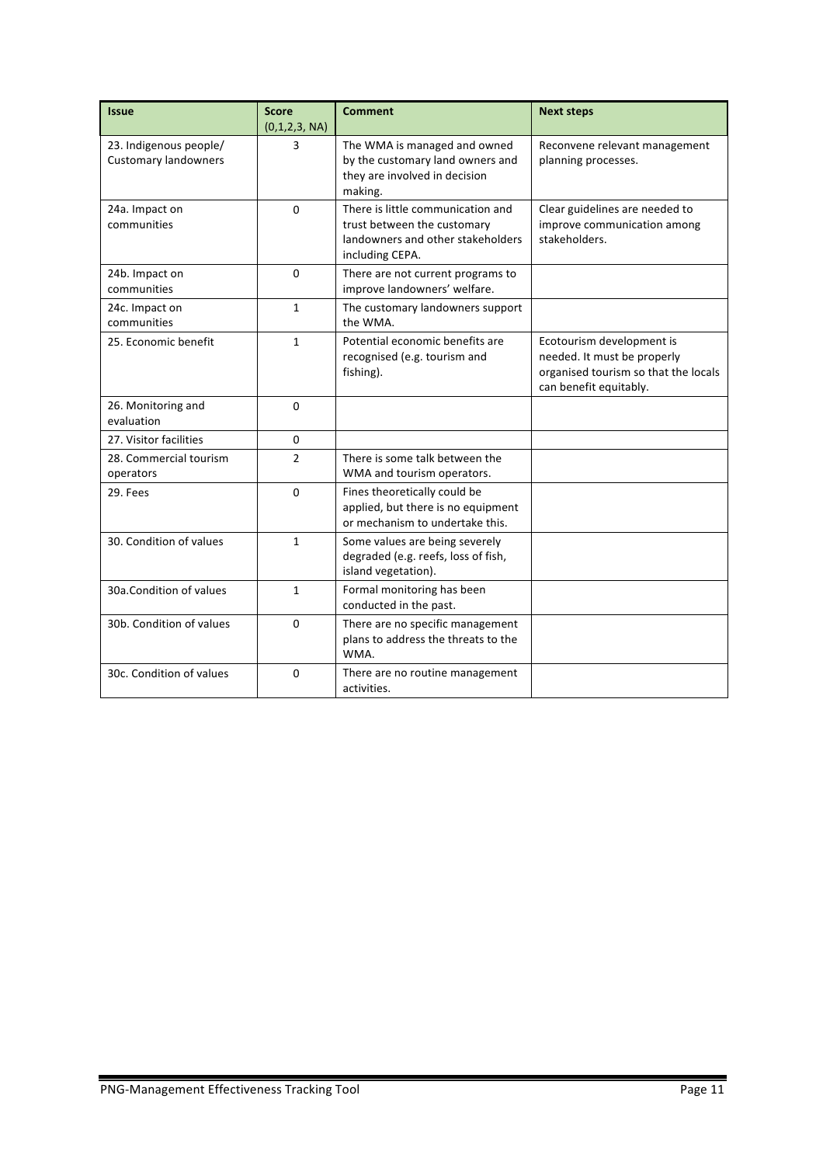| <b>Issue</b>                                          | <b>Score</b><br>(0,1,2,3, NA) | <b>Comment</b>                                                                                                           | <b>Next steps</b>                                                                                                          |
|-------------------------------------------------------|-------------------------------|--------------------------------------------------------------------------------------------------------------------------|----------------------------------------------------------------------------------------------------------------------------|
| 23. Indigenous people/<br><b>Customary landowners</b> | 3                             | The WMA is managed and owned<br>by the customary land owners and<br>they are involved in decision<br>making.             | Reconvene relevant management<br>planning processes.                                                                       |
| 24a. Impact on<br>communities                         | $\Omega$                      | There is little communication and<br>trust between the customary<br>landowners and other stakeholders<br>including CEPA. | Clear guidelines are needed to<br>improve communication among<br>stakeholders.                                             |
| 24b. Impact on<br>communities                         | $\Omega$                      | There are not current programs to<br>improve landowners' welfare.                                                        |                                                                                                                            |
| 24c. Impact on<br>communities                         | 1                             | The customary landowners support<br>the WMA.                                                                             |                                                                                                                            |
| 25. Economic benefit                                  | $\mathbf{1}$                  | Potential economic benefits are<br>recognised (e.g. tourism and<br>fishing).                                             | Ecotourism development is<br>needed. It must be properly<br>organised tourism so that the locals<br>can benefit equitably. |
| 26. Monitoring and<br>evaluation                      | $\Omega$                      |                                                                                                                          |                                                                                                                            |
| 27. Visitor facilities                                | 0                             |                                                                                                                          |                                                                                                                            |
| 28. Commercial tourism<br>operators                   | $\overline{2}$                | There is some talk between the<br>WMA and tourism operators.                                                             |                                                                                                                            |
| 29. Fees                                              | $\Omega$                      | Fines theoretically could be<br>applied, but there is no equipment<br>or mechanism to undertake this.                    |                                                                                                                            |
| 30. Condition of values                               | $\mathbf{1}$                  | Some values are being severely<br>degraded (e.g. reefs, loss of fish,<br>island vegetation).                             |                                                                                                                            |
| 30a.Condition of values                               | $\mathbf{1}$                  | Formal monitoring has been<br>conducted in the past.                                                                     |                                                                                                                            |
| 30b. Condition of values                              | 0                             | There are no specific management<br>plans to address the threats to the<br>WMA.                                          |                                                                                                                            |
| 30c. Condition of values                              | $\Omega$                      | There are no routine management<br>activities.                                                                           |                                                                                                                            |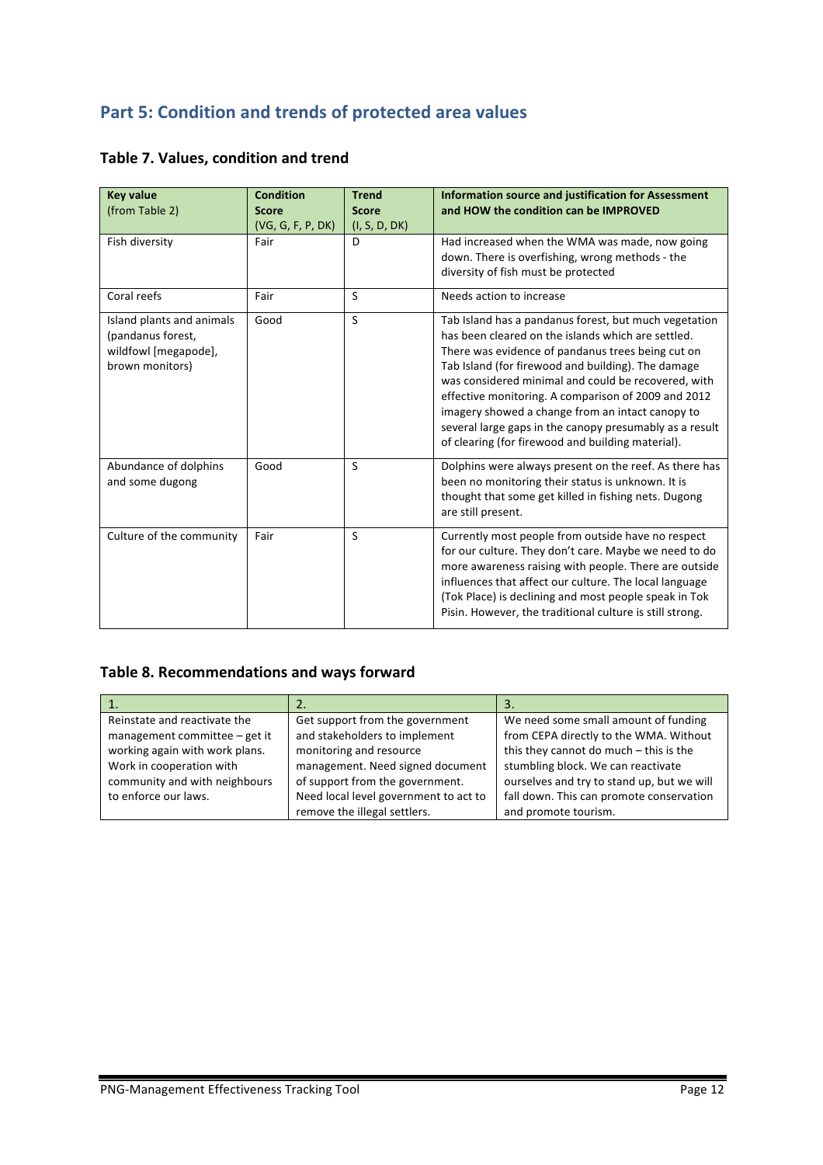# **Part 5: Condition and trends of protected area values**

| <b>Key value</b><br>(from Table 2)                                                        | <b>Condition</b><br><b>Score</b><br>(VG, G, F, P, DK) | <b>Trend</b><br><b>Score</b><br>(I, S, D, DK) | <b>Information source and justification for Assessment</b><br>and HOW the condition can be IMPROVED                                                                                                                                                                                                                                                                                                                                                                                                      |
|-------------------------------------------------------------------------------------------|-------------------------------------------------------|-----------------------------------------------|----------------------------------------------------------------------------------------------------------------------------------------------------------------------------------------------------------------------------------------------------------------------------------------------------------------------------------------------------------------------------------------------------------------------------------------------------------------------------------------------------------|
| Fish diversity                                                                            | Fair                                                  | D                                             | Had increased when the WMA was made, now going<br>down. There is overfishing, wrong methods - the<br>diversity of fish must be protected                                                                                                                                                                                                                                                                                                                                                                 |
| Coral reefs                                                                               | Fair                                                  | S                                             | Needs action to increase                                                                                                                                                                                                                                                                                                                                                                                                                                                                                 |
| Island plants and animals<br>(pandanus forest,<br>wildfowl [megapode],<br>brown monitors) | Good                                                  | S                                             | Tab Island has a pandanus forest, but much vegetation<br>has been cleared on the islands which are settled.<br>There was evidence of pandanus trees being cut on<br>Tab Island (for firewood and building). The damage<br>was considered minimal and could be recovered, with<br>effective monitoring. A comparison of 2009 and 2012<br>imagery showed a change from an intact canopy to<br>several large gaps in the canopy presumably as a result<br>of clearing (for firewood and building material). |
| Abundance of dolphins<br>and some dugong                                                  | Good                                                  | S                                             | Dolphins were always present on the reef. As there has<br>been no monitoring their status is unknown. It is<br>thought that some get killed in fishing nets. Dugong<br>are still present.                                                                                                                                                                                                                                                                                                                |
| Culture of the community                                                                  | Fair                                                  | S                                             | Currently most people from outside have no respect<br>for our culture. They don't care. Maybe we need to do<br>more awareness raising with people. There are outside<br>influences that affect our culture. The local language<br>(Tok Place) is declining and most people speak in Tok<br>Pisin. However, the traditional culture is still strong.                                                                                                                                                      |

#### **Table 7. Values, condition and trend**

#### **Table 8. Recommendations and ways forward**

| Reinstate and reactivate the<br>management committee $-$ get it<br>working again with work plans.<br>Work in cooperation with<br>community and with neighbours<br>to enforce our laws. | Get support from the government<br>and stakeholders to implement<br>monitoring and resource<br>management. Need signed document<br>of support from the government.<br>Need local level government to act to | We need some small amount of funding<br>from CEPA directly to the WMA. Without<br>this they cannot do much - this is the<br>stumbling block. We can reactivate<br>ourselves and try to stand up, but we will<br>fall down. This can promote conservation |
|----------------------------------------------------------------------------------------------------------------------------------------------------------------------------------------|-------------------------------------------------------------------------------------------------------------------------------------------------------------------------------------------------------------|----------------------------------------------------------------------------------------------------------------------------------------------------------------------------------------------------------------------------------------------------------|
|                                                                                                                                                                                        | remove the illegal settlers.                                                                                                                                                                                | and promote tourism.                                                                                                                                                                                                                                     |